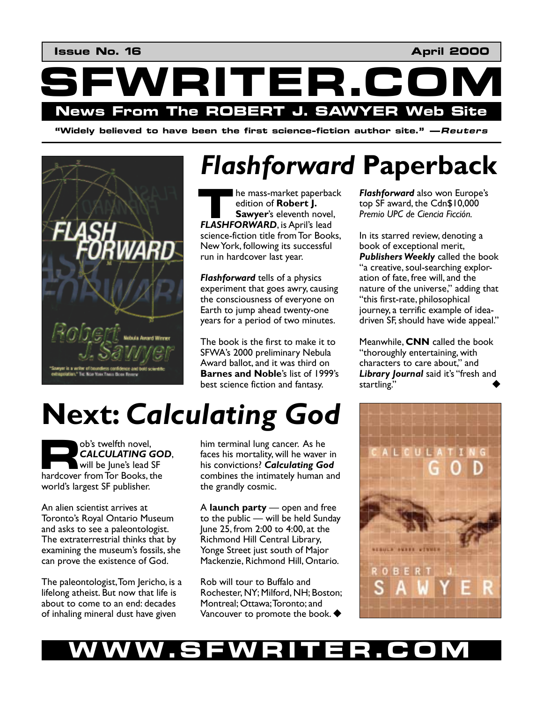

*I*Widely believed to have been the first science-fiction author site." —Reuters



## *Flashforward* **Paperback**

he mass-market paperback edition of **Robert J. Sawyer**ís eleventh novel, **FLASHFORWARD**, is April's lead lead to the **FLASHFORWARD**, is April's lead science-fiction title from Tor Books, New York, following its successful run in hardcover last year.

*Flashforward* tells of a physics experiment that goes awry, causing the consciousness of everyone on Earth to jump ahead twenty-one years for a period of two minutes.

The book is the first to make it to SFWAís 2000 preliminary Nebula Award ballot, and it was third on **Barnes and Noble's list of 1999's** best science fiction and fantasy.

**Flashforward** also won Europe's top SF award, the Cdn\$10,000 **Premio UPC de Ciencia Ficción.** 

In its starred review, denoting a book of exceptional merit, *Publishers Weekly* called the book "a creative, soul-searching exploration of fate, free will, and the nature of the universe," adding that "this first-rate, philosophical journey, a terrific example of ideadriven SF, should have wide appeal."

Meanwhile, **CNN** called the book "thoroughly entertaining, with characters to care about," and Library Journal said it's "fresh and startling."



# **Next:** *Calculating God*

obís twelfth novel, *CALCULATING GOD*, will be lune's lead SF b<sup>ob's</sup> twelfth novel,<br> **CALCULATING GO**<br>
will be June's lead SF<br>
hardcover from Tor Books, the world's largest SF publisher.

An alien scientist arrives at Toronto's Royal Ontario Museum and asks to see a paleontologist. The extraterrestrial thinks that by examining the museum's fossils, she can prove the existence of God.

The paleontologist, Tom Jericho, is a lifelong atheist. But now that life is about to come to an end: decades of inhaling mineral dust have given

him terminal lung cancer. As he faces his mortality, will he waver in his convictions? *Calculating God* combines the intimately human and the grandly cosmic.

A **launch party** — open and free to the public  $-$  will be held Sunday June 25, from 2:00 to 4:00, at the Richmond Hill Central Library, Yonge Street just south of Major Mackenzie, Richmond Hill, Ontario.

Rob will tour to Buffalo and Rochester, NY; Milford, NH; Boston; Montreal; Ottawa; Toronto; and Vancouver to promote the book.  $\blacklozenge$ 

### WW.SFWRITER.CO